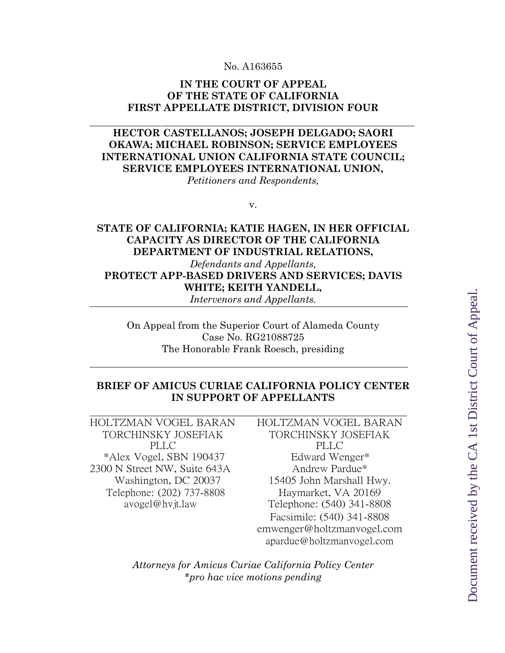#### No. A163655

#### **IN THE COURT OF APPEAL OF THE STATE OF CALIFORNIA FIRST APPELLATE DISTRICT, DIVISION FOUR**

## **HECTOR CASTELLANOS; JOSEPH DELGADO; SAORI OKAWA; MICHAEL ROBINSON; SERVICE EMPLOYEES INTERNATIONAL UNION CALIFORNIA STATE COUNCIL; SERVICE EMPLOYEES INTERNATIONAL UNION,**

*Petitioners and Respondents,*

v.

### **STATE OF CALIFORNIA; KATIE HAGEN, IN HER OFFICIAL CAPACITY AS DIRECTOR OF THE CALIFORNIA DEPARTMENT OF INDUSTRIAL RELATIONS,**

*Defendants and Appellants,* **PROTECT APP-BASED DRIVERS AND SERVICES; DAVIS WHITE; KEITH YANDELL,**

*Intervenors and Appellants.*

On Appeal from the Superior Court of Alameda County Case No. RG21088725 The Honorable Frank Roesch, presiding

### **BRIEF OF AMICUS CURIAE CALIFORNIA POLICY CENTER IN SUPPORT OF APPELLANTS**

HOLTZMAN VOGEL BARAN HOLTZMAN VOGEL BARAN TORCHINSKY JOSEFIAK PLLC \*Alex Vogel, SBN 190437 Edward Wenger\* 2300 N Street NW, Suite 643A Andrew Pardue\* Telephone: (202) 737-8808 Haymarket, VA 20169

TORCHINSKY JOSEFIAK PLLC Washington, DC 20037 15405 John Marshall Hwy. avogel@hvjt.law Telephone: (540) 341-8808 Facsimile: (540) 341-8808 emwenger@holtzmanvogel.com apardue@holtzmanvogel.com

*Attorneys for Amicus Curiae California Policy Center \*pro hac vice motions pending*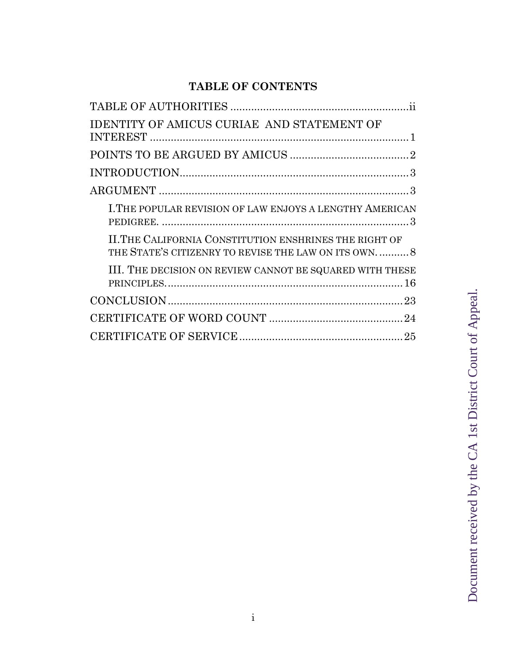# **TABLE OF CONTENTS**

| <b>IDENTITY OF AMICUS CURIAE AND STATEMENT OF</b>                                                              |
|----------------------------------------------------------------------------------------------------------------|
|                                                                                                                |
|                                                                                                                |
|                                                                                                                |
|                                                                                                                |
| I. THE POPULAR REVISION OF LAW ENJOYS A LENGTHY AMERICAN                                                       |
| II. THE CALIFORNIA CONSTITUTION ENSHRINES THE RIGHT OF<br>THE STATE'S CITIZENRY TO REVISE THE LAW ON ITS OWN 8 |
| III. THE DECISION ON REVIEW CANNOT BE SQUARED WITH THESE                                                       |
|                                                                                                                |
|                                                                                                                |
|                                                                                                                |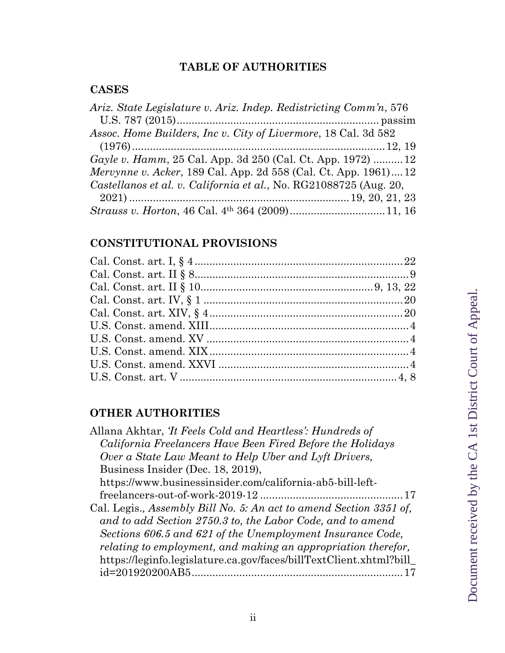# **TABLE OF AUTHORITIES**

# **CASES**

| Ariz. State Legislature v. Ariz. Indep. Redistricting Comm'n, 576      |  |
|------------------------------------------------------------------------|--|
|                                                                        |  |
| Assoc. Home Builders, Inc v. City of Livermore, 18 Cal. 3d 582         |  |
|                                                                        |  |
| Gayle v. Hamm, 25 Cal. App. 3d 250 (Cal. Ct. App. 1972) 12             |  |
| <i>Mervynne v. Acker</i> , 189 Cal. App. 2d 558 (Cal. Ct. App. 1961)12 |  |
| Castellanos et al. v. California et al., No. RG21088725 (Aug. 20,      |  |
|                                                                        |  |
|                                                                        |  |

# **CONSTITUTIONAL PROVISIONS**

## **OTHER AUTHORITIES**

| Allana Akhtar, <i>Tt Feels Cold and Heartless</i> : <i>Hundreds of</i> |
|------------------------------------------------------------------------|
| California Freelancers Have Been Fired Before the Holidays             |
| Over a State Law Meant to Help Uber and Lyft Drivers,                  |
| Business Insider (Dec. 18, 2019),                                      |
| https://www.businessinsider.com/california-ab5-bill-left-              |
|                                                                        |
| Cal. Legis., Assembly Bill No. 5: An act to amend Section 3351 of,     |
| and to add Section 2750.3 to, the Labor Code, and to amend             |
| Sections 606.5 and 621 of the Unemployment Insurance Code,             |
| relating to employment, and making an appropriation therefor,          |
| https://leginfo.legislature.ca.gov/faces/billTextClient.xhtml?bill     |
| id=201920200AB5                                                        |
|                                                                        |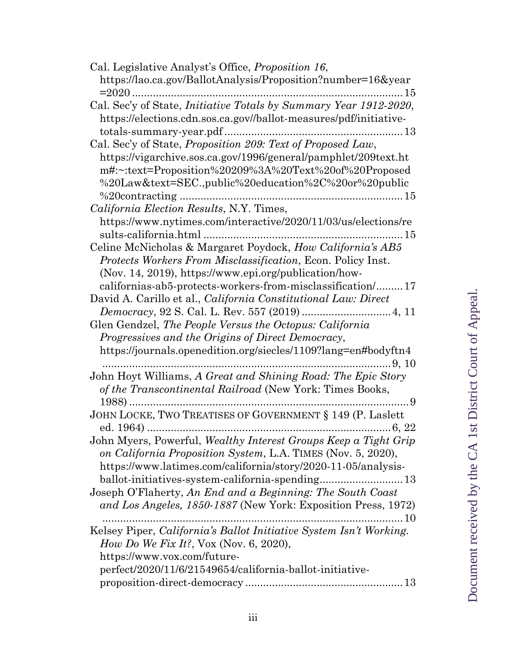| Cal. Legislative Analyst's Office, <i>Proposition 16</i> ,<br>https://lao.ca.gov/BallotAnalysis/Proposition?number=16&year<br>$= 2020$<br>15                                                     |
|--------------------------------------------------------------------------------------------------------------------------------------------------------------------------------------------------|
| Cal. Sec'y of State, <i>Initiative Totals by Summary Year 1912-2020</i> ,<br>https://elections.cdn.sos.ca.gov//ballot-measures/pdf/initiative-                                                   |
| Cal. Sec'y of State, Proposition 209: Text of Proposed Law,                                                                                                                                      |
| https://vigarchive.sos.ca.gov/1996/general/pamphlet/209text.ht<br>m#:~:text=Proposition%20209%3A%20Text%20of%20Proposed<br>%20Law&text=SEC.,public%20education%2C%20or%20public                  |
| California Election Results, N.Y. Times,                                                                                                                                                         |
| https://www.nytimes.com/interactive/2020/11/03/us/elections/re                                                                                                                                   |
| Celine McNicholas & Margaret Poydock, How California's AB5                                                                                                                                       |
| Protects Workers From Misclassification, Econ. Policy Inst.<br>(Nov. 14, 2019), https://www.epi.org/publication/how-                                                                             |
| californias-ab5-protects-workers-from-misclassification/17<br>David A. Carillo et al., <i>California Constitutional Law: Direct</i>                                                              |
|                                                                                                                                                                                                  |
| Glen Gendzel, The People Versus the Octopus: California<br>Progressives and the Origins of Direct Democracy,                                                                                     |
| https://journals.openedition.org/siecles/1109?lang=en#bodyftn4                                                                                                                                   |
| John Hoyt Williams, A Great and Shining Road: The Epic Story<br>of the Transcontinental Railroad (New York: Times Books,                                                                         |
| . 9<br>JOHN LOCKE, TWO TREATISES OF GOVERNMENT § 149 (P. Laslett                                                                                                                                 |
| $\ldots \ldots 6, 22$                                                                                                                                                                            |
| John Myers, Powerful, Wealthy Interest Groups Keep a Tight Grip<br>on California Proposition System, L.A. TIMES (Nov. 5, 2020),<br>https://www.latimes.com/california/story/2020-11-05/analysis- |
| ballot-initiatives-system-california-spending 13                                                                                                                                                 |
| Joseph O'Flaherty, An End and a Beginning: The South Coast<br>and Los Angeles, 1850-1887 (New York: Exposition Press, 1972)<br>$\ldots 10$                                                       |
| Kelsey Piper, California's Ballot Initiative System Isn't Working.<br><i>How Do We Fix It?</i> , Vox (Nov. 6, 2020),                                                                             |
| https://www.vox.com/future-                                                                                                                                                                      |
| perfect/2020/11/6/21549654/california-ballot-initiative-<br>13                                                                                                                                   |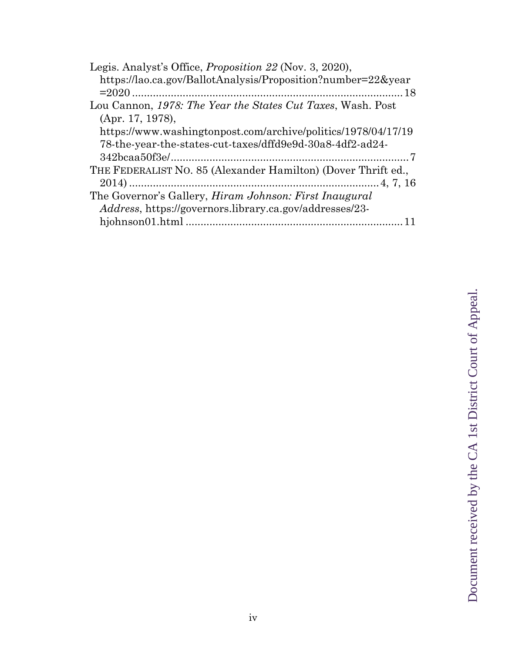| Legis. Analyst's Office, <i>Proposition 22</i> (Nov. 3, 2020), |
|----------------------------------------------------------------|
| https://lao.ca.gov/BallotAnalysis/Proposition?number=22&year   |
|                                                                |
| Lou Cannon, 1978: The Year the States Cut Taxes, Wash. Post    |
| (Apr. 17, 1978),                                               |
| https://www.washingtonpost.com/archive/politics/1978/04/17/19  |
| 78-the-year-the-states-cut-taxes/dffd9e9d-30a8-4df2-ad24-      |
|                                                                |
| THE FEDERALIST NO. 85 (Alexander Hamilton) (Dover Thrift ed.,  |
|                                                                |
| The Governor's Gallery, <i>Hiram Johnson: First Inaugural</i>  |
| Address, https://governors.library.ca.gov/addresses/23-        |
|                                                                |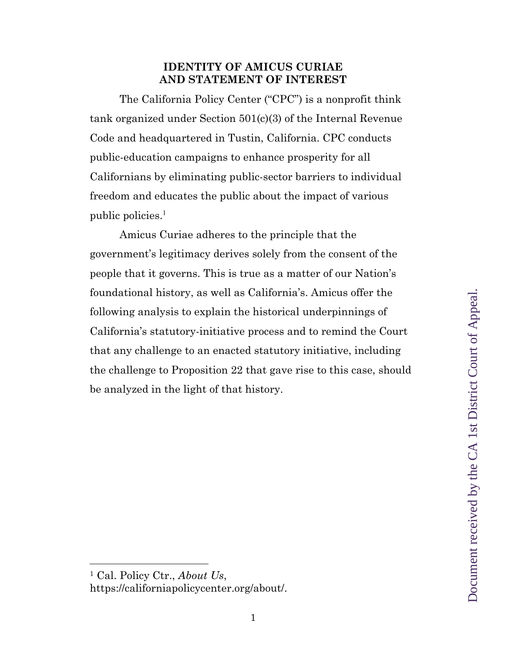## **IDENTITY OF AMICUS CURIAE AND STATEMENT OF INTEREST**

The California Policy Center ("CPC") is a nonprofit think tank organized under Section 501(c)(3) of the Internal Revenue Code and headquartered in Tustin, California. CPC conducts public-education campaigns to enhance prosperity for all Californians by eliminating public-sector barriers to individual freedom and educates the public about the impact of various public policies. 1

Amicus Curiae adheres to the principle that the government's legitimacy derives solely from the consent of the people that it governs. This is true as a matter of our Nation's foundational history, as well as California's. Amicus offer the following analysis to explain the historical underpinnings of California's statutory-initiative process and to remind the Court that any challenge to an enacted statutory initiative, including the challenge to Proposition 22 that gave rise to this case, should be analyzed in the light of that history.

<sup>1</sup> Cal. Policy Ctr., *About Us*, https://californiapolicycenter.org/about/.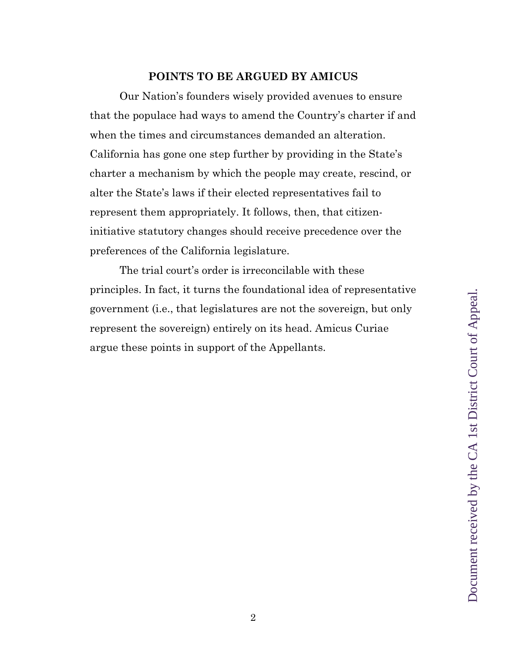### **POINTS TO BE ARGUED BY AMICUS**

Our Nation's founders wisely provided avenues to ensure that the populace had ways to amend the Country's charter if and when the times and circumstances demanded an alteration. California has gone one step further by providing in the State's charter a mechanism by which the people may create, rescind, or alter the State's laws if their elected representatives fail to represent them appropriately. It follows, then, that citizeninitiative statutory changes should receive precedence over the preferences of the California legislature.

The trial court's order is irreconcilable with these principles. In fact, it turns the foundational idea of representative government (i.e., that legislatures are not the sovereign, but only represent the sovereign) entirely on its head. Amicus Curiae argue these points in support of the Appellants.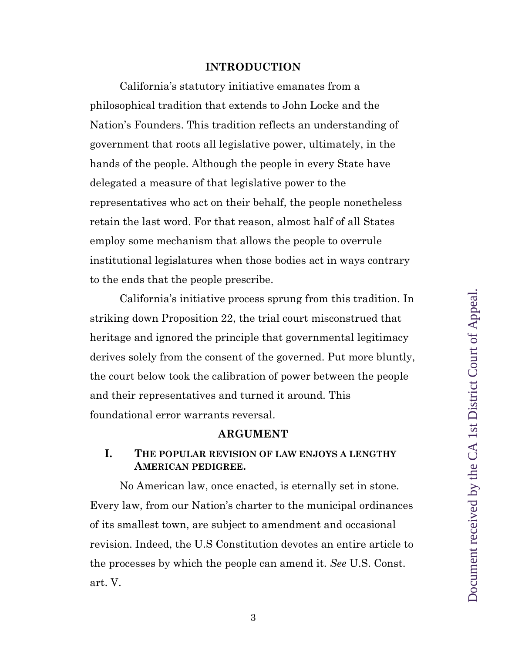#### **INTRODUCTION**

California's statutory initiative emanates from a philosophical tradition that extends to John Locke and the Nation's Founders. This tradition reflects an understanding of government that roots all legislative power, ultimately, in the hands of the people. Although the people in every State have delegated a measure of that legislative power to the representatives who act on their behalf, the people nonetheless retain the last word. For that reason, almost half of all States employ some mechanism that allows the people to overrule institutional legislatures when those bodies act in ways contrary to the ends that the people prescribe.

California's initiative process sprung from this tradition. In striking down Proposition 22, the trial court misconstrued that heritage and ignored the principle that governmental legitimacy derives solely from the consent of the governed. Put more bluntly, the court below took the calibration of power between the people and their representatives and turned it around. This foundational error warrants reversal.

#### **ARGUMENT**

## **I. THE POPULAR REVISION OF LAW ENJOYS A LENGTHY AMERICAN PEDIGREE.**

No American law, once enacted, is eternally set in stone. Every law, from our Nation's charter to the municipal ordinances of its smallest town, are subject to amendment and occasional revision. Indeed, the U.S Constitution devotes an entire article to the processes by which the people can amend it. *See* U.S. Const. art. V.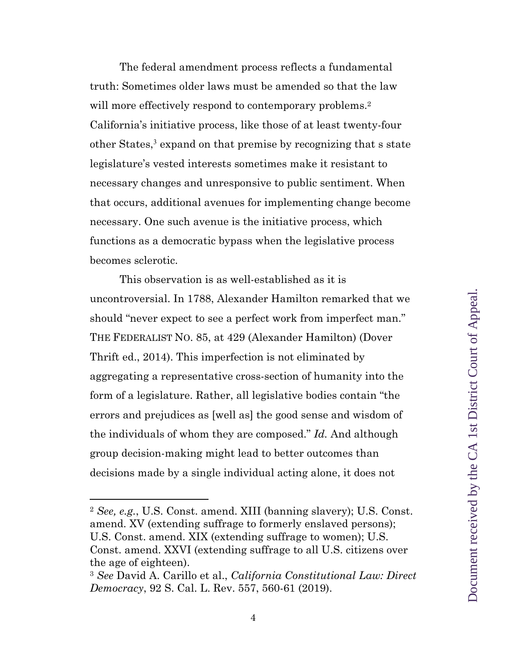The federal amendment process reflects a fundamental truth: Sometimes older laws must be amended so that the law will more effectively respond to contemporary problems.<sup>2</sup> California's initiative process, like those of at least twenty-four other States, <sup>3</sup> expand on that premise by recognizing that s state legislature's vested interests sometimes make it resistant to necessary changes and unresponsive to public sentiment. When that occurs, additional avenues for implementing change become necessary. One such avenue is the initiative process, which functions as a democratic bypass when the legislative process becomes sclerotic.

This observation is as well-established as it is uncontroversial. In 1788, Alexander Hamilton remarked that we should "never expect to see a perfect work from imperfect man." THE FEDERALIST NO. 85, at 429 (Alexander Hamilton) (Dover Thrift ed., 2014). This imperfection is not eliminated by aggregating a representative cross-section of humanity into the form of a legislature. Rather, all legislative bodies contain "the errors and prejudices as [well as] the good sense and wisdom of the individuals of whom they are composed." *Id.* And although group decision-making might lead to better outcomes than decisions made by a single individual acting alone, it does not

<sup>2</sup> *See, e.g.*, U.S. Const. amend. XIII (banning slavery); U.S. Const. amend. XV (extending suffrage to formerly enslaved persons); U.S. Const. amend. XIX (extending suffrage to women); U.S. Const. amend. XXVI (extending suffrage to all U.S. citizens over the age of eighteen).

<sup>3</sup> *See* David A. Carillo et al., *California Constitutional Law: Direct Democracy*, 92 S. Cal. L. Rev. 557, 560-61 (2019).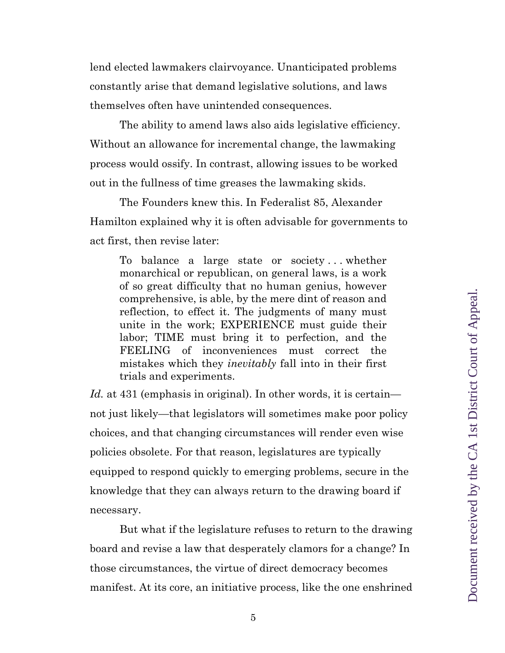lend elected lawmakers clairvoyance. Unanticipated problems constantly arise that demand legislative solutions, and laws themselves often have unintended consequences.

The ability to amend laws also aids legislative efficiency. Without an allowance for incremental change, the lawmaking process would ossify. In contrast, allowing issues to be worked out in the fullness of time greases the lawmaking skids.

The Founders knew this. In Federalist 85, Alexander Hamilton explained why it is often advisable for governments to act first, then revise later:

To balance a large state or society . . . whether monarchical or republican, on general laws, is a work of so great difficulty that no human genius, however comprehensive, is able, by the mere dint of reason and reflection, to effect it. The judgments of many must unite in the work; EXPERIENCE must guide their labor; TIME must bring it to perfection, and the FEELING of inconveniences must correct the mistakes which they *inevitably* fall into in their first trials and experiments.

*Id.* at 431 (emphasis in original). In other words, it is certain not just likely—that legislators will sometimes make poor policy choices, and that changing circumstances will render even wise policies obsolete. For that reason, legislatures are typically equipped to respond quickly to emerging problems, secure in the knowledge that they can always return to the drawing board if necessary.

But what if the legislature refuses to return to the drawing board and revise a law that desperately clamors for a change? In those circumstances, the virtue of direct democracy becomes manifest. At its core, an initiative process, like the one enshrined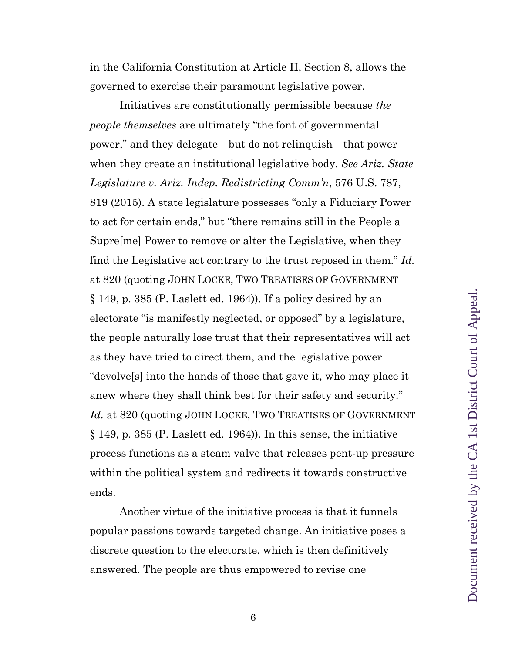in the California Constitution at Article II, Section 8, allows the governed to exercise their paramount legislative power.

Initiatives are constitutionally permissible because *the people themselves* are ultimately "the font of governmental power," and they delegate—but do not relinquish—that power when they create an institutional legislative body. *See Ariz. State Legislature v. Ariz. Indep. Redistricting Comm'n*, 576 U.S. 787, 819 (2015). A state legislature possesses "only a Fiduciary Power to act for certain ends," but "there remains still in the People a Supre[me] Power to remove or alter the Legislative, when they find the Legislative act contrary to the trust reposed in them." *Id.* at 820 (quoting JOHN LOCKE, TWO TREATISES OF GOVERNMENT § 149, p. 385 (P. Laslett ed. 1964)). If a policy desired by an electorate "is manifestly neglected, or opposed" by a legislature, the people naturally lose trust that their representatives will act as they have tried to direct them, and the legislative power "devolve[s] into the hands of those that gave it, who may place it anew where they shall think best for their safety and security." Id. at 820 (quoting JOHN LOCKE, TWO TREATISES OF GOVERNMENT § 149, p. 385 (P. Laslett ed. 1964)). In this sense, the initiative process functions as a steam valve that releases pent-up pressure within the political system and redirects it towards constructive ends.

Another virtue of the initiative process is that it funnels popular passions towards targeted change. An initiative poses a discrete question to the electorate, which is then definitively answered. The people are thus empowered to revise one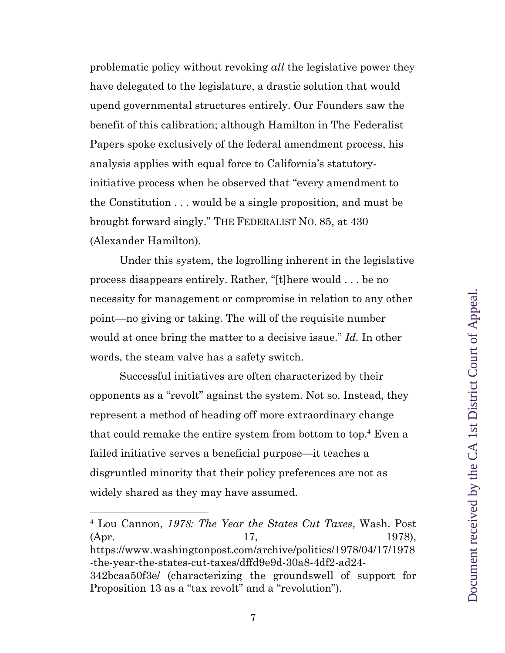problematic policy without revoking *all* the legislative power they have delegated to the legislature, a drastic solution that would upend governmental structures entirely. Our Founders saw the benefit of this calibration; although Hamilton in The Federalist Papers spoke exclusively of the federal amendment process, his analysis applies with equal force to California's statutoryinitiative process when he observed that "every amendment to the Constitution . . . would be a single proposition, and must be brought forward singly." THE FEDERALIST NO. 85, at 430 (Alexander Hamilton).

Under this system, the logrolling inherent in the legislative process disappears entirely. Rather, "[t]here would . . . be no necessity for management or compromise in relation to any other point—no giving or taking. The will of the requisite number would at once bring the matter to a decisive issue." *Id.* In other words, the steam valve has a safety switch.

Successful initiatives are often characterized by their opponents as a "revolt" against the system. Not so. Instead, they represent a method of heading off more extraordinary change that could remake the entire system from bottom to top. <sup>4</sup> Even a failed initiative serves a beneficial purpose—it teaches a disgruntled minority that their policy preferences are not as widely shared as they may have assumed.

<sup>4</sup> Lou Cannon, *1978: The Year the States Cut Taxes*, Wash. Post (Apr. 17, 1978), https://www.washingtonpost.com/archive/politics/1978/04/17/1978 -the-year-the-states-cut-taxes/dffd9e9d-30a8-4df2-ad24- 342bcaa50f3e/ (characterizing the groundswell of support for Proposition 13 as a "tax revolt" and a "revolution").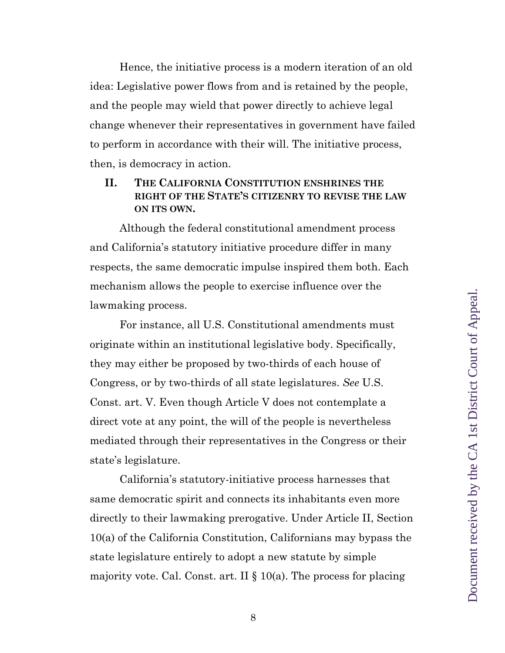Hence, the initiative process is a modern iteration of an old idea: Legislative power flows from and is retained by the people, and the people may wield that power directly to achieve legal change whenever their representatives in government have failed to perform in accordance with their will. The initiative process, then, is democracy in action.

## **II. THE CALIFORNIA CONSTITUTION ENSHRINES THE RIGHT OF THE STATE'S CITIZENRY TO REVISE THE LAW ON ITS OWN.**

Although the federal constitutional amendment process and California's statutory initiative procedure differ in many respects, the same democratic impulse inspired them both. Each mechanism allows the people to exercise influence over the lawmaking process.

For instance, all U.S. Constitutional amendments must originate within an institutional legislative body. Specifically, they may either be proposed by two-thirds of each house of Congress, or by two-thirds of all state legislatures. *See* U.S. Const. art. V. Even though Article V does not contemplate a direct vote at any point, the will of the people is nevertheless mediated through their representatives in the Congress or their state's legislature.

California's statutory-initiative process harnesses that same democratic spirit and connects its inhabitants even more directly to their lawmaking prerogative. Under Article II, Section 10(a) of the California Constitution, Californians may bypass the state legislature entirely to adopt a new statute by simple majority vote. Cal. Const. art. II  $\S 10(a)$ . The process for placing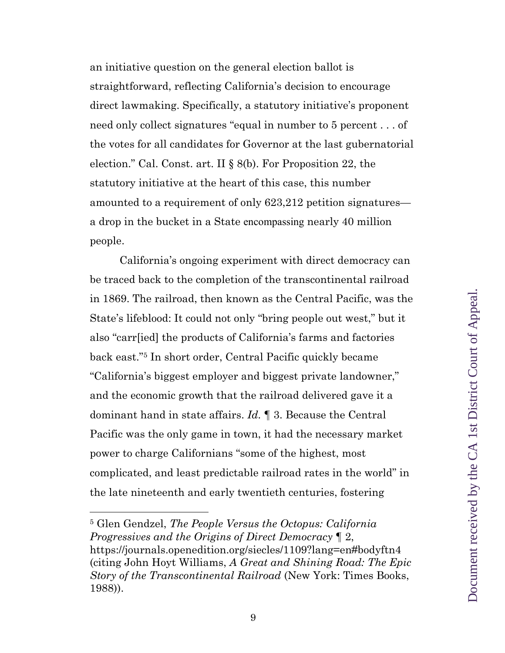an initiative question on the general election ballot is straightforward, reflecting California's decision to encourage direct lawmaking. Specifically, a statutory initiative's proponent need only collect signatures "equal in number to 5 percent . . . of the votes for all candidates for Governor at the last gubernatorial election." Cal. Const. art. II § 8(b). For Proposition 22, the statutory initiative at the heart of this case, this number amounted to a requirement of only 623,212 petition signatures a drop in the bucket in a State encompassing nearly 40 million people.

California's ongoing experiment with direct democracy can be traced back to the completion of the transcontinental railroad in 1869. The railroad, then known as the Central Pacific, was the State's lifeblood: It could not only "bring people out west," but it also "carr[ied] the products of California's farms and factories back east."5 In short order, Central Pacific quickly became "California's biggest employer and biggest private landowner," and the economic growth that the railroad delivered gave it a dominant hand in state affairs. *Id.* ¶ 3. Because the Central Pacific was the only game in town, it had the necessary market power to charge Californians "some of the highest, most complicated, and least predictable railroad rates in the world" in the late nineteenth and early twentieth centuries, fostering

<sup>5</sup> Glen Gendzel, *The People Versus the Octopus: California Progressives and the Origins of Direct Democracy* ¶ 2, https://journals.openedition.org/siecles/1109?lang=en#bodyftn4 (citing John Hoyt Williams, *A Great and Shining Road: The Epic Story of the Transcontinental Railroad* (New York: Times Books, 1988)).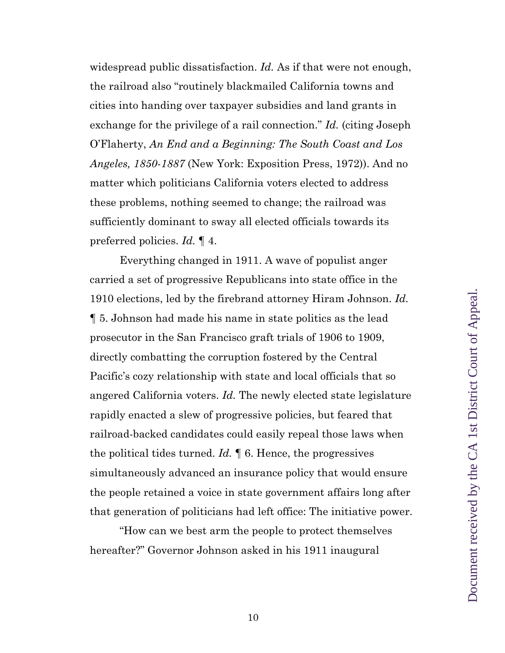widespread public dissatisfaction. *Id.* As if that were not enough, the railroad also "routinely blackmailed California towns and cities into handing over taxpayer subsidies and land grants in exchange for the privilege of a rail connection." *Id.* (citing Joseph O'Flaherty, *An End and a Beginning: The South Coast and Los Angeles, 1850-1887* (New York: Exposition Press, 1972)). And no matter which politicians California voters elected to address these problems, nothing seemed to change; the railroad was sufficiently dominant to sway all elected officials towards its preferred policies. *Id.* ¶ 4.

Everything changed in 1911. A wave of populist anger carried a set of progressive Republicans into state office in the 1910 elections, led by the firebrand attorney Hiram Johnson. *Id.* ¶ 5. Johnson had made his name in state politics as the lead prosecutor in the San Francisco graft trials of 1906 to 1909, directly combatting the corruption fostered by the Central Pacific's cozy relationship with state and local officials that so angered California voters. *Id.* The newly elected state legislature rapidly enacted a slew of progressive policies, but feared that railroad-backed candidates could easily repeal those laws when the political tides turned. *Id.* ¶ 6. Hence, the progressives simultaneously advanced an insurance policy that would ensure the people retained a voice in state government affairs long after that generation of politicians had left office: The initiative power.

"How can we best arm the people to protect themselves hereafter?" Governor Johnson asked in his 1911 inaugural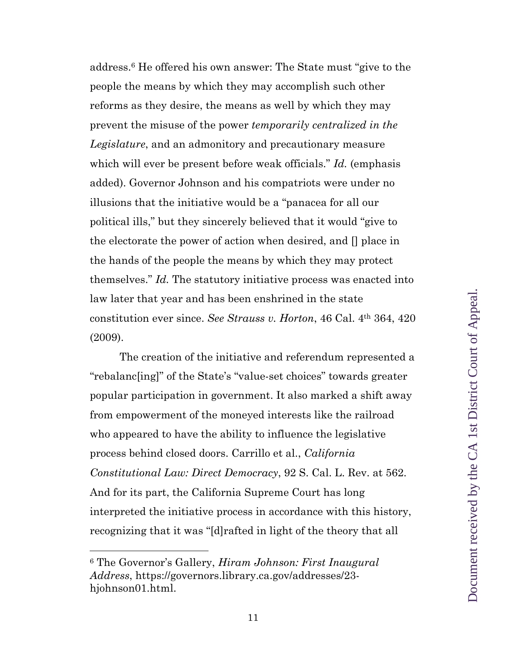address.6 He offered his own answer: The State must "give to the people the means by which they may accomplish such other reforms as they desire, the means as well by which they may prevent the misuse of the power *temporarily centralized in the Legislature*, and an admonitory and precautionary measure which will ever be present before weak officials." *Id.* (emphasis added). Governor Johnson and his compatriots were under no illusions that the initiative would be a "panacea for all our political ills," but they sincerely believed that it would "give to the electorate the power of action when desired, and [] place in the hands of the people the means by which they may protect themselves." *Id.* The statutory initiative process was enacted into law later that year and has been enshrined in the state constitution ever since. *See Strauss v. Horton*, 46 Cal. 4th 364, 420 (2009).

The creation of the initiative and referendum represented a "rebalanc[ing]" of the State's "value-set choices" towards greater popular participation in government. It also marked a shift away from empowerment of the moneyed interests like the railroad who appeared to have the ability to influence the legislative process behind closed doors. Carrillo et al., *California Constitutional Law: Direct Democracy*, 92 S. Cal. L. Rev. at 562. And for its part, the California Supreme Court has long interpreted the initiative process in accordance with this history, recognizing that it was "[d]rafted in light of the theory that all

<sup>6</sup> The Governor's Gallery, *Hiram Johnson: First Inaugural Address*, https://governors.library.ca.gov/addresses/23 hjohnson01.html.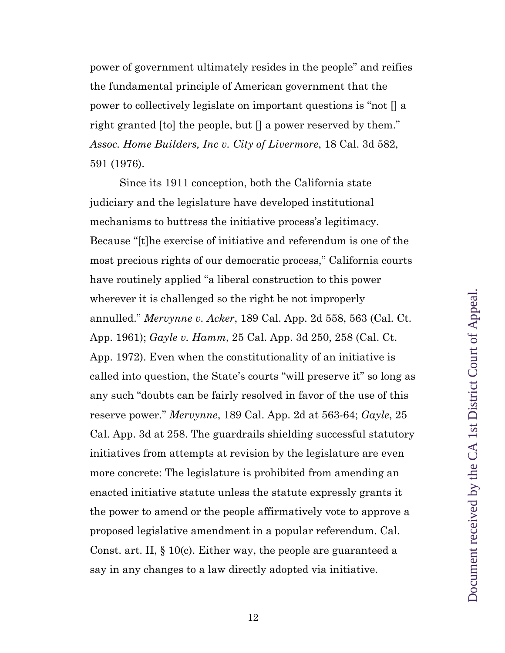power of government ultimately resides in the people" and reifies the fundamental principle of American government that the power to collectively legislate on important questions is "not [] a right granted [to] the people, but [] a power reserved by them." *Assoc. Home Builders, Inc v. City of Livermore*, 18 Cal. 3d 582, 591 (1976).

Since its 1911 conception, both the California state judiciary and the legislature have developed institutional mechanisms to buttress the initiative process's legitimacy. Because "[t]he exercise of initiative and referendum is one of the most precious rights of our democratic process," California courts have routinely applied "a liberal construction to this power wherever it is challenged so the right be not improperly annulled." *Mervynne v. Acker*, 189 Cal. App. 2d 558, 563 (Cal. Ct. App. 1961); *Gayle v. Hamm*, 25 Cal. App. 3d 250, 258 (Cal. Ct. App. 1972). Even when the constitutionality of an initiative is called into question, the State's courts "will preserve it" so long as any such "doubts can be fairly resolved in favor of the use of this reserve power." *Mervynne*, 189 Cal. App. 2d at 563-64; *Gayle*, 25 Cal. App. 3d at 258. The guardrails shielding successful statutory initiatives from attempts at revision by the legislature are even more concrete: The legislature is prohibited from amending an enacted initiative statute unless the statute expressly grants it the power to amend or the people affirmatively vote to approve a proposed legislative amendment in a popular referendum. Cal. Const. art. II, § 10(c). Either way, the people are guaranteed a say in any changes to a law directly adopted via initiative.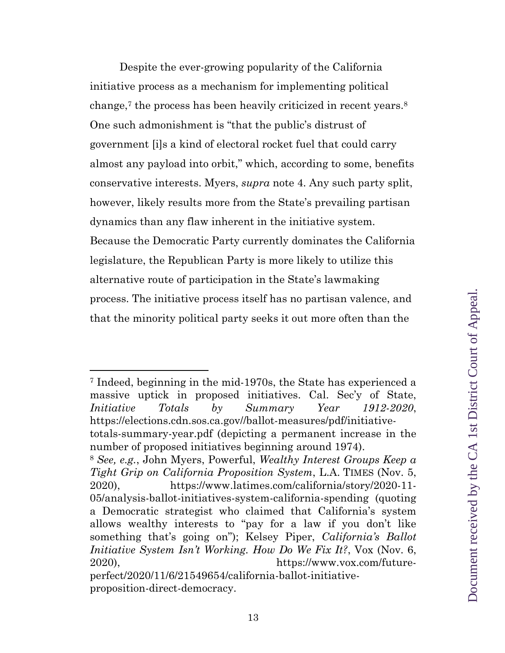Despite the ever-growing popularity of the California initiative process as a mechanism for implementing political change,<sup>7</sup> the process has been heavily criticized in recent years.<sup>8</sup> One such admonishment is "that the public's distrust of government [i]s a kind of electoral rocket fuel that could carry almost any payload into orbit," which, according to some, benefits conservative interests. Myers, *supra* note 4. Any such party split, however, likely results more from the State's prevailing partisan dynamics than any flaw inherent in the initiative system. Because the Democratic Party currently dominates the California legislature, the Republican Party is more likely to utilize this alternative route of participation in the State's lawmaking process. The initiative process itself has no partisan valence, and that the minority political party seeks it out more often than the

<sup>7</sup> Indeed, beginning in the mid-1970s, the State has experienced a massive uptick in proposed initiatives. Cal. Sec'y of State, *Initiative Totals by Summary Year 1912-2020*, https://elections.cdn.sos.ca.gov//ballot-measures/pdf/initiativetotals-summary-year.pdf (depicting a permanent increase in the number of proposed initiatives beginning around 1974). <sup>8</sup> *See, e.g.*, John Myers, Powerful, *Wealthy Interest Groups Keep a* 

*Tight Grip on California Proposition System*, L.A. TIMES (Nov. 5, 2020), https://www.latimes.com/california/story/2020-11- 05/analysis-ballot-initiatives-system-california-spending (quoting a Democratic strategist who claimed that California's system allows wealthy interests to "pay for a law if you don't like something that's going on"); Kelsey Piper, *California's Ballot Initiative System Isn't Working. How Do We Fix It?*, Vox (Nov. 6, 2020), https://www.vox.com/futureperfect/2020/11/6/21549654/california-ballot-initiative-

proposition-direct-democracy.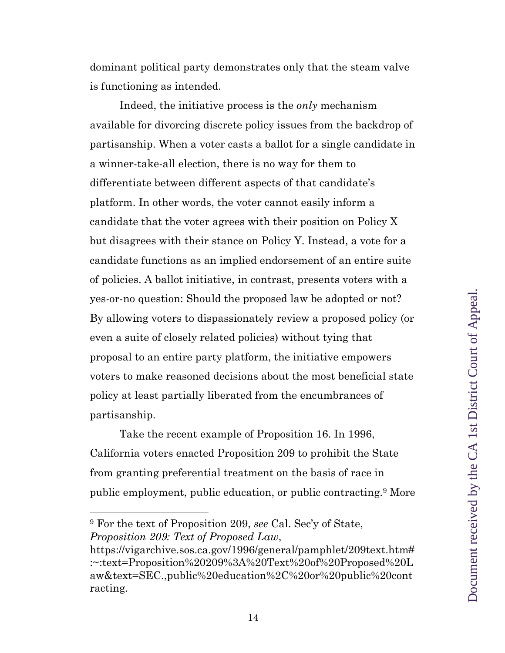dominant political party demonstrates only that the steam valve is functioning as intended.

Indeed, the initiative process is the *only* mechanism available for divorcing discrete policy issues from the backdrop of partisanship. When a voter casts a ballot for a single candidate in a winner-take-all election, there is no way for them to differentiate between different aspects of that candidate's platform. In other words, the voter cannot easily inform a candidate that the voter agrees with their position on Policy X but disagrees with their stance on Policy Y. Instead, a vote for a candidate functions as an implied endorsement of an entire suite of policies. A ballot initiative, in contrast, presents voters with a yes-or-no question: Should the proposed law be adopted or not? By allowing voters to dispassionately review a proposed policy (or even a suite of closely related policies) without tying that proposal to an entire party platform, the initiative empowers voters to make reasoned decisions about the most beneficial state policy at least partially liberated from the encumbrances of partisanship.

Take the recent example of Proposition 16. In 1996, California voters enacted Proposition 209 to prohibit the State from granting preferential treatment on the basis of race in public employment, public education, or public contracting.9 More

<sup>9</sup> For the text of Proposition 209, *see* Cal. Sec'y of State, *Proposition 209: Text of Proposed Law*,

https://vigarchive.sos.ca.gov/1996/general/pamphlet/209text.htm# :~:text=Proposition%20209%3A%20Text%20of%20Proposed%20L aw&text=SEC.,public%20education%2C%20or%20public%20cont racting.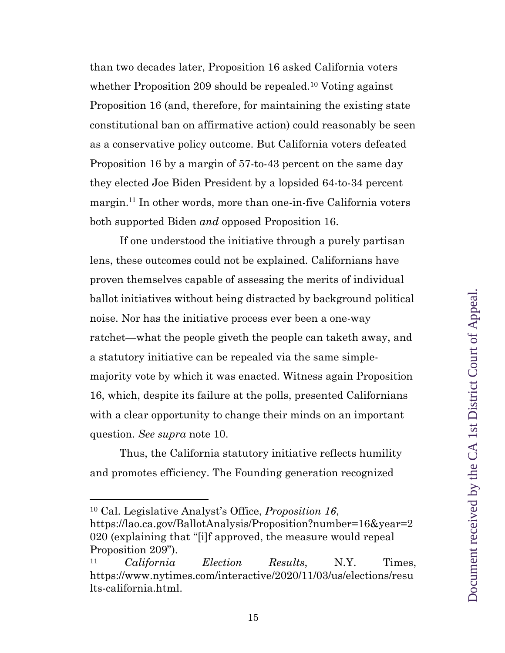than two decades later, Proposition 16 asked California voters whether Proposition 209 should be repealed.<sup>10</sup> Voting against Proposition 16 (and, therefore, for maintaining the existing state constitutional ban on affirmative action) could reasonably be seen as a conservative policy outcome. But California voters defeated Proposition 16 by a margin of 57-to-43 percent on the same day they elected Joe Biden President by a lopsided 64-to-34 percent margin.<sup>11</sup> In other words, more than one-in-five California voters both supported Biden *and* opposed Proposition 16.

If one understood the initiative through a purely partisan lens, these outcomes could not be explained. Californians have proven themselves capable of assessing the merits of individual ballot initiatives without being distracted by background political noise. Nor has the initiative process ever been a one-way ratchet—what the people giveth the people can taketh away, and a statutory initiative can be repealed via the same simplemajority vote by which it was enacted. Witness again Proposition 16, which, despite its failure at the polls, presented Californians with a clear opportunity to change their minds on an important question. *See supra* note 10.

Thus, the California statutory initiative reflects humility and promotes efficiency. The Founding generation recognized

<sup>10</sup> Cal. Legislative Analyst's Office, *Proposition 16*,

https://lao.ca.gov/BallotAnalysis/Proposition?number=16&year=2 020 (explaining that "[i]f approved, the measure would repeal Proposition 209").

<sup>11</sup> *California Election Results*, N.Y. Times, https://www.nytimes.com/interactive/2020/11/03/us/elections/resu lts-california.html.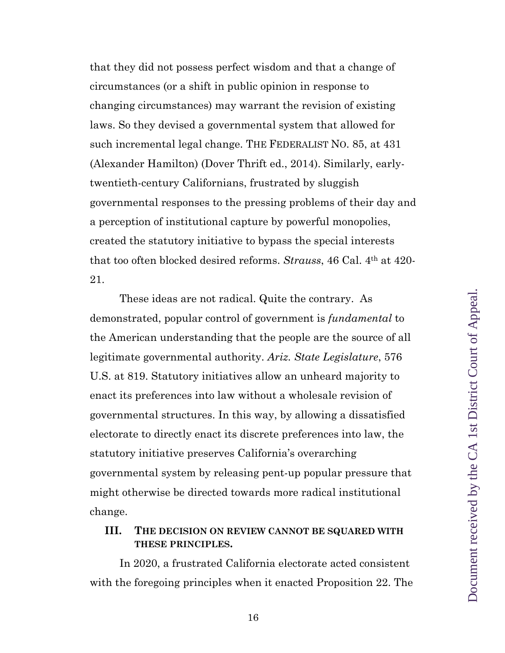that they did not possess perfect wisdom and that a change of circumstances (or a shift in public opinion in response to changing circumstances) may warrant the revision of existing laws. So they devised a governmental system that allowed for such incremental legal change. THE FEDERALIST NO. 85, at 431 (Alexander Hamilton) (Dover Thrift ed., 2014). Similarly, earlytwentieth-century Californians, frustrated by sluggish governmental responses to the pressing problems of their day and a perception of institutional capture by powerful monopolies, created the statutory initiative to bypass the special interests that too often blocked desired reforms. *Strauss*, 46 Cal. 4th at 420- 21.

These ideas are not radical. Quite the contrary. As demonstrated, popular control of government is *fundamental* to the American understanding that the people are the source of all legitimate governmental authority. *Ariz. State Legislature*, 576 U.S. at 819. Statutory initiatives allow an unheard majority to enact its preferences into law without a wholesale revision of governmental structures. In this way, by allowing a dissatisfied electorate to directly enact its discrete preferences into law, the statutory initiative preserves California's overarching governmental system by releasing pent-up popular pressure that might otherwise be directed towards more radical institutional change.

## **III. THE DECISION ON REVIEW CANNOT BE SQUARED WITH THESE PRINCIPLES.**

In 2020, a frustrated California electorate acted consistent with the foregoing principles when it enacted Proposition 22. The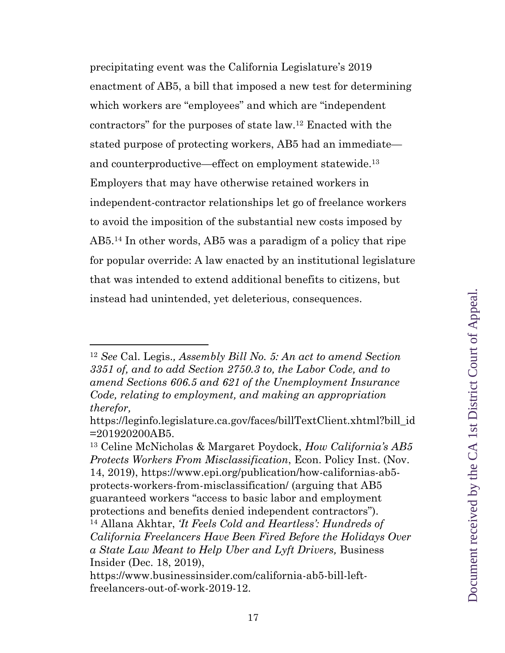precipitating event was the California Legislature's 2019 enactment of AB5, a bill that imposed a new test for determining which workers are "employees" and which are "independent contractors" for the purposes of state law.12 Enacted with the stated purpose of protecting workers, AB5 had an immediate and counterproductive—effect on employment statewide. 13 Employers that may have otherwise retained workers in independent-contractor relationships let go of freelance workers to avoid the imposition of the substantial new costs imposed by AB5. <sup>14</sup> In other words, AB5 was a paradigm of a policy that ripe for popular override: A law enacted by an institutional legislature that was intended to extend additional benefits to citizens, but instead had unintended, yet deleterious, consequences.

<sup>12</sup> *See* Cal. Legis.*, Assembly Bill No. 5: An act to amend Section 3351 of, and to add Section 2750.3 to, the Labor Code, and to amend Sections 606.5 and 621 of the Unemployment Insurance Code, relating to employment, and making an appropriation therefor,* 

https://leginfo.legislature.ca.gov/faces/billTextClient.xhtml?bill\_id =201920200AB5.

<sup>13</sup> Celine McNicholas & Margaret Poydock, *How California's AB5 Protects Workers From Misclassification*, Econ. Policy Inst. (Nov. 14, 2019), https://www.epi.org/publication/how-californias-ab5 protects-workers-from-misclassification/ (arguing that AB5 guaranteed workers "access to basic labor and employment protections and benefits denied independent contractors"). <sup>14</sup> Allana Akhtar, *'It Feels Cold and Heartless': Hundreds of California Freelancers Have Been Fired Before the Holidays Over a State Law Meant to Help Uber and Lyft Drivers,* Business Insider (Dec. 18, 2019),

https://www.businessinsider.com/california-ab5-bill-leftfreelancers-out-of-work-2019-12.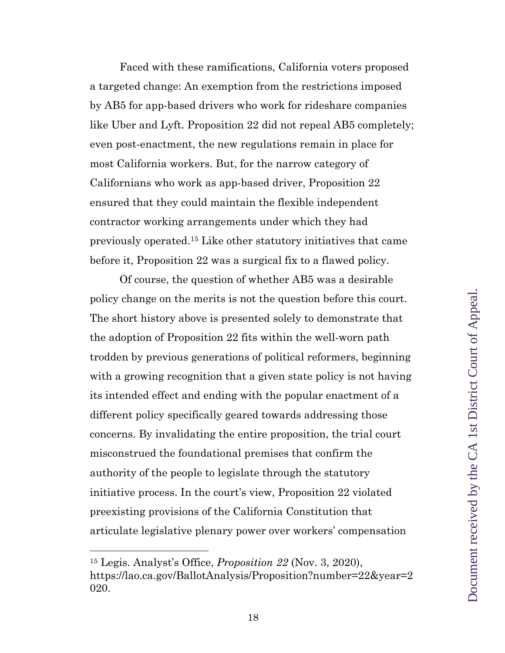Faced with these ramifications, California voters proposed a targeted change: An exemption from the restrictions imposed by AB5 for app-based drivers who work for rideshare companies like Uber and Lyft. Proposition 22 did not repeal AB5 completely; even post-enactment, the new regulations remain in place for most California workers. But, for the narrow category of Californians who work as app-based driver, Proposition 22 ensured that they could maintain the flexible independent contractor working arrangements under which they had previously operated.15 Like other statutory initiatives that came before it, Proposition 22 was a surgical fix to a flawed policy.

Of course, the question of whether AB5 was a desirable policy change on the merits is not the question before this court. The short history above is presented solely to demonstrate that the adoption of Proposition 22 fits within the well-worn path trodden by previous generations of political reformers, beginning with a growing recognition that a given state policy is not having its intended effect and ending with the popular enactment of a different policy specifically geared towards addressing those concerns. By invalidating the entire proposition, the trial court misconstrued the foundational premises that confirm the authority of the people to legislate through the statutory initiative process. In the court's view, Proposition 22 violated preexisting provisions of the California Constitution that articulate legislative plenary power over workers' compensation

<sup>15</sup> Legis. Analyst's Office, *Proposition 22* (Nov. 3, 2020), https://lao.ca.gov/BallotAnalysis/Proposition?number=22&year=2 020.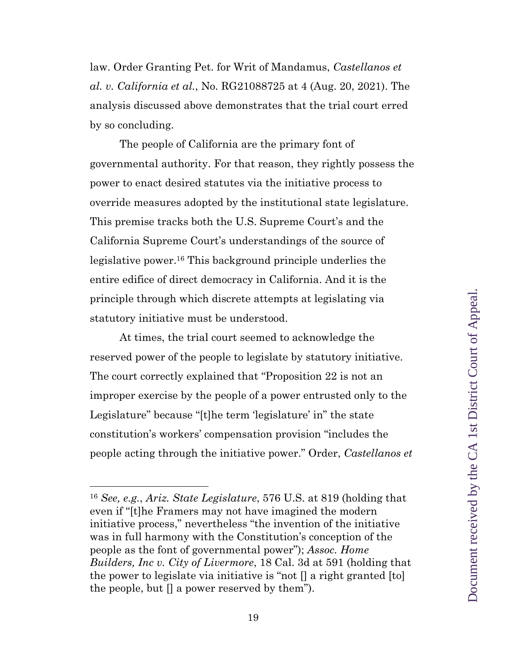law. Order Granting Pet. for Writ of Mandamus, *Castellanos et al. v. California et al.*, No. RG21088725 at 4 (Aug. 20, 2021). The analysis discussed above demonstrates that the trial court erred by so concluding.

The people of California are the primary font of governmental authority. For that reason, they rightly possess the power to enact desired statutes via the initiative process to override measures adopted by the institutional state legislature. This premise tracks both the U.S. Supreme Court's and the California Supreme Court's understandings of the source of legislative power.16 This background principle underlies the entire edifice of direct democracy in California. And it is the principle through which discrete attempts at legislating via statutory initiative must be understood.

At times, the trial court seemed to acknowledge the reserved power of the people to legislate by statutory initiative. The court correctly explained that "Proposition 22 is not an improper exercise by the people of a power entrusted only to the Legislature" because "[t]he term 'legislature' in" the state constitution's workers' compensation provision "includes the people acting through the initiative power." Order, *Castellanos et* 

<sup>16</sup> *See, e.g.*, *Ariz. State Legislature*, 576 U.S. at 819 (holding that even if "[t]he Framers may not have imagined the modern initiative process," nevertheless "the invention of the initiative was in full harmony with the Constitution's conception of the people as the font of governmental power"); *Assoc. Home Builders, Inc v. City of Livermore*, 18 Cal. 3d at 591 (holding that the power to legislate via initiative is "not [] a right granted [to] the people, but  $\Box$  a power reserved by them").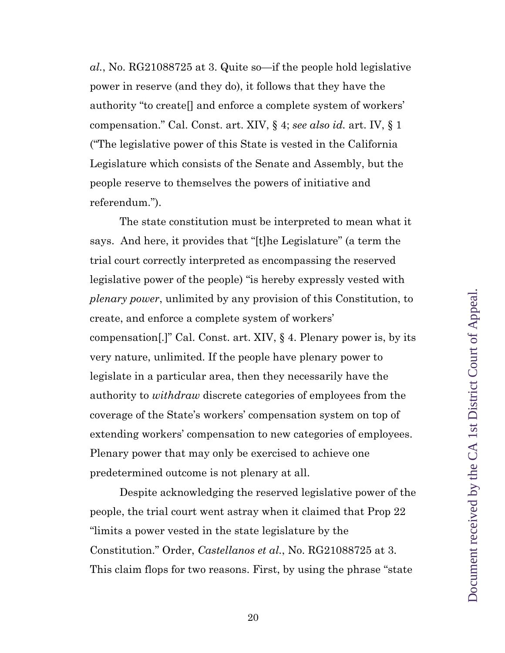*al.*, No. RG21088725 at 3. Quite so—if the people hold legislative power in reserve (and they do), it follows that they have the authority "to create[] and enforce a complete system of workers' compensation." Cal. Const. art. XIV, § 4; *see also id.* art. IV, § 1 ("The legislative power of this State is vested in the California Legislature which consists of the Senate and Assembly, but the people reserve to themselves the powers of initiative and referendum.").

The state constitution must be interpreted to mean what it says. And here, it provides that "[t]he Legislature" (a term the trial court correctly interpreted as encompassing the reserved legislative power of the people) "is hereby expressly vested with *plenary power*, unlimited by any provision of this Constitution, to create, and enforce a complete system of workers' compensation[.]" Cal. Const. art. XIV, § 4. Plenary power is, by its very nature, unlimited. If the people have plenary power to legislate in a particular area, then they necessarily have the authority to *withdraw* discrete categories of employees from the coverage of the State's workers' compensation system on top of extending workers' compensation to new categories of employees. Plenary power that may only be exercised to achieve one predetermined outcome is not plenary at all.

Despite acknowledging the reserved legislative power of the people, the trial court went astray when it claimed that Prop 22 "limits a power vested in the state legislature by the Constitution." Order, *Castellanos et al.*, No. RG21088725 at 3. This claim flops for two reasons. First, by using the phrase "state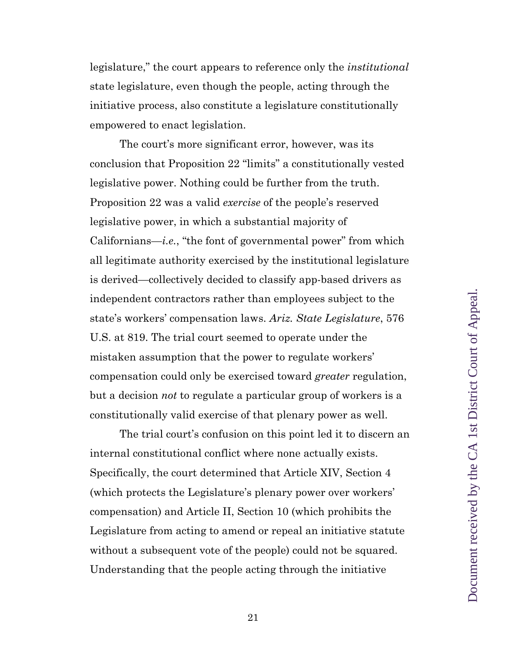legislature," the court appears to reference only the *institutional* state legislature, even though the people, acting through the initiative process, also constitute a legislature constitutionally empowered to enact legislation.

The court's more significant error, however, was its conclusion that Proposition 22 "limits" a constitutionally vested legislative power. Nothing could be further from the truth. Proposition 22 was a valid *exercise* of the people's reserved legislative power, in which a substantial majority of Californians—*i.e.*, "the font of governmental power" from which all legitimate authority exercised by the institutional legislature is derived—collectively decided to classify app-based drivers as independent contractors rather than employees subject to the state's workers' compensation laws. *Ariz. State Legislature*, 576 U.S. at 819. The trial court seemed to operate under the mistaken assumption that the power to regulate workers' compensation could only be exercised toward *greater* regulation, but a decision *not* to regulate a particular group of workers is a constitutionally valid exercise of that plenary power as well.

The trial court's confusion on this point led it to discern an internal constitutional conflict where none actually exists. Specifically, the court determined that Article XIV, Section 4 (which protects the Legislature's plenary power over workers' compensation) and Article II, Section 10 (which prohibits the Legislature from acting to amend or repeal an initiative statute without a subsequent vote of the people) could not be squared. Understanding that the people acting through the initiative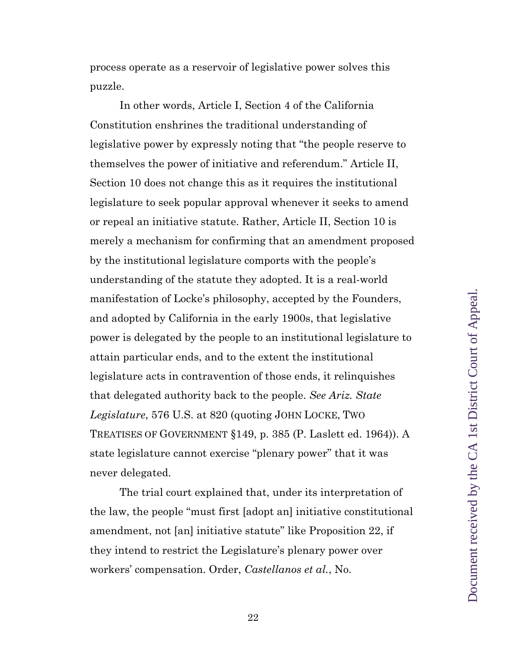process operate as a reservoir of legislative power solves this puzzle.

In other words, Article I, Section 4 of the California Constitution enshrines the traditional understanding of legislative power by expressly noting that "the people reserve to themselves the power of initiative and referendum." Article II, Section 10 does not change this as it requires the institutional legislature to seek popular approval whenever it seeks to amend or repeal an initiative statute. Rather, Article II, Section 10 is merely a mechanism for confirming that an amendment proposed by the institutional legislature comports with the people's understanding of the statute they adopted. It is a real-world manifestation of Locke's philosophy, accepted by the Founders, and adopted by California in the early 1900s, that legislative power is delegated by the people to an institutional legislature to attain particular ends, and to the extent the institutional legislature acts in contravention of those ends, it relinquishes that delegated authority back to the people. *See Ariz. State Legislature*, 576 U.S. at 820 (quoting JOHN LOCKE, TWO TREATISES OF GOVERNMENT §149, p. 385 (P. Laslett ed. 1964)). A state legislature cannot exercise "plenary power" that it was never delegated.

The trial court explained that, under its interpretation of the law, the people "must first [adopt an] initiative constitutional amendment, not [an] initiative statute" like Proposition 22, if they intend to restrict the Legislature's plenary power over workers' compensation. Order, *Castellanos et al.*, No.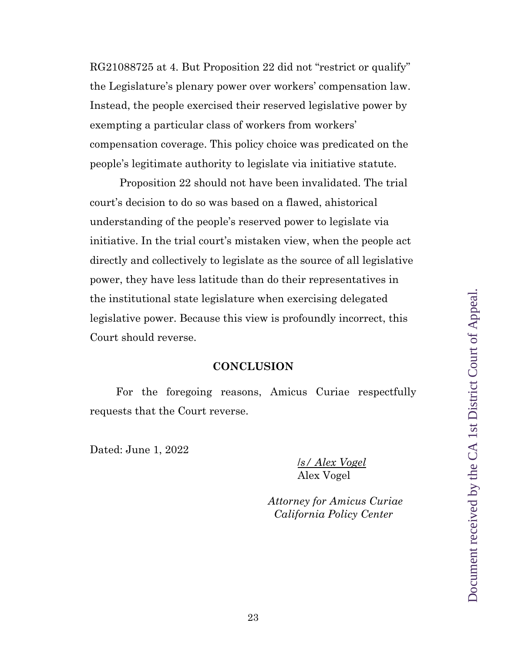RG21088725 at 4. But Proposition 22 did not "restrict or qualify" the Legislature's plenary power over workers' compensation law. Instead, the people exercised their reserved legislative power by exempting a particular class of workers from workers' compensation coverage. This policy choice was predicated on the people's legitimate authority to legislate via initiative statute.

Proposition 22 should not have been invalidated. The trial court's decision to do so was based on a flawed, ahistorical understanding of the people's reserved power to legislate via initiative. In the trial court's mistaken view, when the people act directly and collectively to legislate as the source of all legislative power, they have less latitude than do their representatives in the institutional state legislature when exercising delegated legislative power. Because this view is profoundly incorrect, this Court should reverse.

#### **CONCLUSION**

For the foregoing reasons, Amicus Curiae respectfully requests that the Court reverse.

Dated: June 1, 2022

/*s/ Alex Vogel* Alex Vogel

 *Attorney for Amicus Curiae California Policy Center*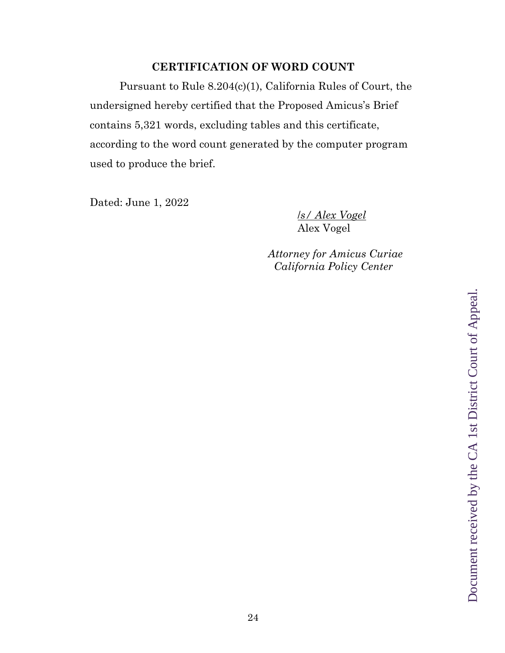# **CERTIFICATION OF WORD COUNT**

Pursuant to Rule 8.204(c)(1), California Rules of Court, the undersigned hereby certified that the Proposed Amicus's Brief contains 5,321 words, excluding tables and this certificate, according to the word count generated by the computer program used to produce the brief.

Dated: June 1, 2022

/*s/ Alex Vogel* Alex Vogel

 *Attorney for Amicus Curiae California Policy Center*